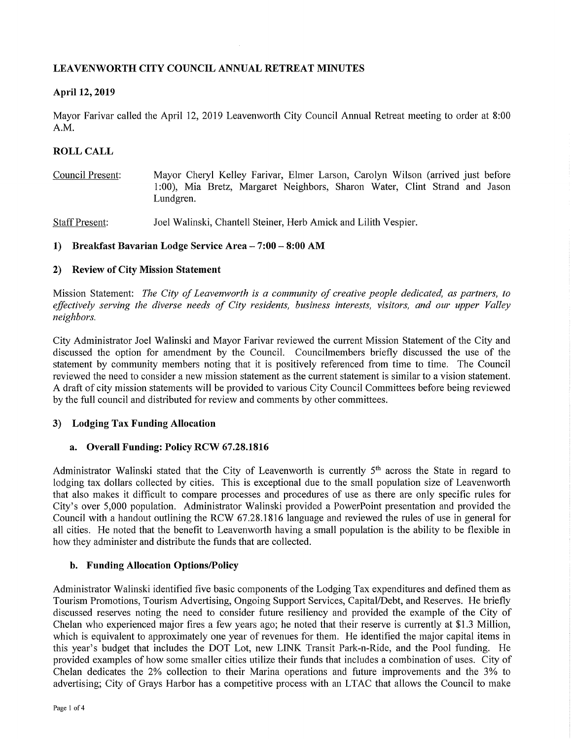# **LEAVENWORTH CITY COUNCIL ANNUAL RETREAT MINUTES**

## **April 12, 2019**

Mayor Farivar called the April 12, 2019 Leavenworth City Council Annual Retreat meeting to order at 8:00 A.M.

# **ROLL CALL**

Council Present: Mayor Cheryl Kelley Farivar, Elmer Larson, Carolyn Wilson (arrived just before 1 :00), Mia Bretz, Margaret Neighbors, Sharon Water, Clint Strand and Jason Lundgren.

Staff Present: Joel Walinski, Chantell Steiner, Herb Amick and Lilith Vespier.

### **1) Breakfast Bavarian Lodge Service Area-7:00-8:00 AM**

### **2) Review of City Mission Statement**

Mission Statement: *The City of Leavenworth is a community of creative people dedicated, as partners, to effectively serving the diverse needs of City residents, business interests, visitors, and our upper Valley neighbors.* 

City Administrator Joel Walinski and Mayor Farivar reviewed the current Mission Statement of the City and discussed the option for amendment by the Council. Councilmembers briefly discussed the use of the statement by community members noting that it is positively referenced from time to time. The Council reviewed the need to consider a new mission statement as the current statement is similar to a vision statement. A draft of city mission statements will be provided to various City Council Committees before being reviewed by the full council and distributed for review and comments by other committees.

### **3) Lodging Tax Funding Allocation**

### **a. Overall Funding: Policy RCW 67.28.1816**

Administrator Walinski stated that the City of Leavenworth is currently 5<sup>th</sup> across the State in regard to lodging tax dollars collected by cities. This is exceptional due to the small population size of Leavenworth that also makes it difficult to compare processes and procedures of use as there are only specific rules for City's over 5,000 population. Administrator Walinski provided a PowerPoint presentation and provided the Council with a handout outlining the RCW 67.28.1816 language and reviewed the rules of use in general for all cities. He noted that the benefit to Leavenworth having a small population is the ability to be flexible in how they administer and distribute the funds that are collected.

### **b. Funding Allocation Options/Policy**

Administrator Walinski identified five basic components of the Lodging Tax expenditures and defined them as Tourism Promotions, Tourism Advertising, Ongoing Support Services, Capital/Debt, and Reserves. He briefly discussed reserves noting the need to consider future resiliency and provided the example of the City of Chelan who experienced major fires a few years ago; he noted that their reserve is currently at \$1.3 Million, which is equivalent to approximately one year of revenues for them. He identified the major capital items in this year's budget that includes the DOT Lot, new LINK Transit Park-n-Ride, and the Pool funding. He provided examples of how some smaller cities utilize their funds that includes a combination of uses. City of Chelan dedicates the 2% collection to their Marina operations and future improvements and the 3% to advertising; City of Grays Harbor has a competitive process with an LTAC that allows the Council to make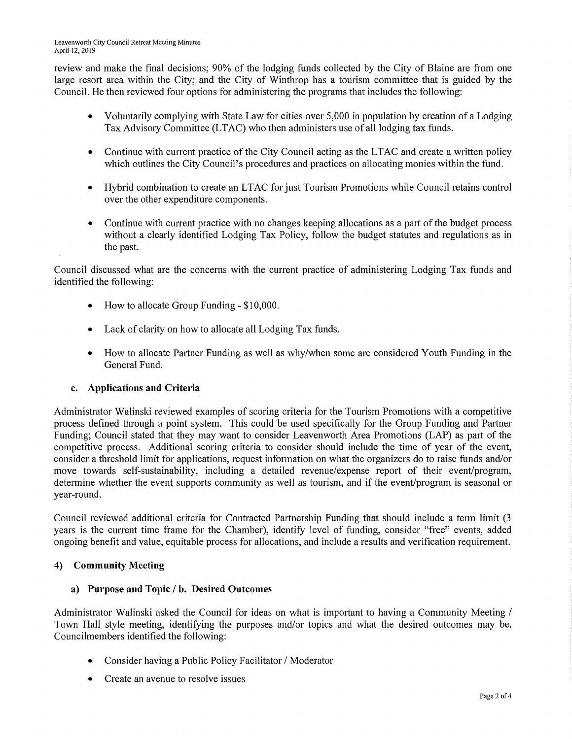review and make the final decisions; 90% of the lodging funds collected by the City of Blaine are from one large resort area within the City; and the City of Winthrop has a tourism committee that is guided by the Council. He then reviewed four options for administering the programs that includes the following:

- Voluntarily complying with State Law for cities over 5,000 in population by creation of a Lodging Tax Advisory Committee (LTAC) who then administers use of all lodging tax funds.
- Continue with current practice of the City Council acting as the LTAC and create a written policy which outlines the City Council's procedures and practices on allocating monies within the fund.
- Hybrid combination to create an LTAC for just Tourism Promotions while Council retains control over the other expenditure components.
- Continue with current practice with no changes keeping allocations as a part of the budget process without a clearly identified Lodging Tax Policy, follow the budget statutes and regulations as in the past.

Council discussed what are the concerns with the current practice of administering Lodging Tax funds and identified the following:

- How to allocate Group Funding \$10,000.
- Lack of clarity on how to allocate all Lodging Tax funds.
- How to allocate Pattner Funding as well as why/when some are considered Youth Funding in the General Fund.

### **c. Applications and Criteria**

Administrator Walinski reviewed examples of scoring criteria for the Tourism Promotions with a competitive process defined through a point system. This could be used specifically for the Group Funding and Partner Funding; Council stated that they may want to consider Leavenworth Area Promotions (LAP) as part of the competitive process. Additional scoring criteria to consider should include the time of year of the event, consider a threshold limit for applications, request information on what the organizers do to raise funds and/or move towards self-sustainability, including a detailed revenue/expense repott of their event/program, determine whether the event supports community as well as tourism, and if the event/program is seasonal or year-round.

Council reviewed additional criteria for Contracted Partnership Funding that should include a term limit (3 years is the current time frame for the Chamber), identify level of funding, consider "free" events, added ongoing benefit and value, equitable process for allocations, and include a results and verification requirement.

### **4) Community Meeting**

### **a) Purpose and Topic I b. Desired Outcomes**

Administrator Walinski asked the Council for ideas on what is important to having a Community Meeting / Town Hall style meeting, identifying the purposes and/or topics and what the desired outcomes may be. Councilmembers identified the following:

- Consider having a Public Policy Facilitator / Moderator
- Create an avenue to resolve issues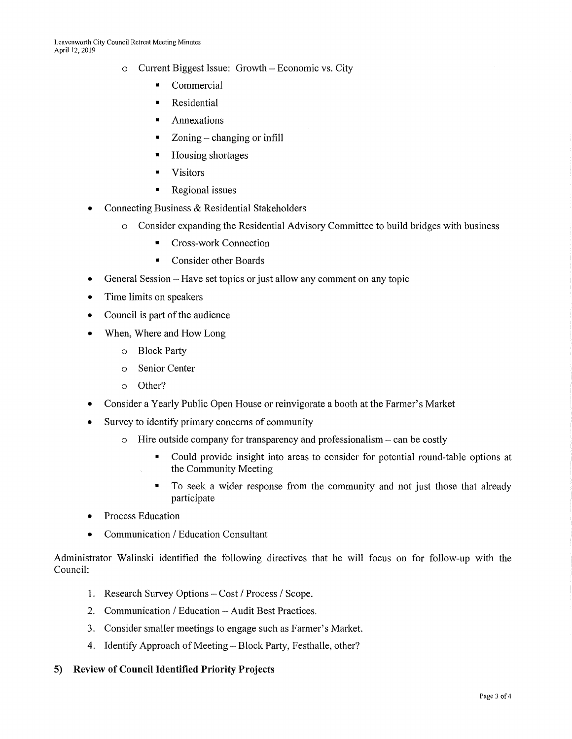- o Current Biggest Issue: Growth Economic vs. City
	- Commercial
	- Residential
	- Annexations
	- $\blacksquare$  Zoning changing or infill
	- Housing shortages
	- Visitors
	- Regional issues
- Connecting Business & Residential Stakeholders
	- o Consider expanding the Residential Advisory Committee to build bridges with business
		- Cross-work Connection
		- Consider other Boards
- General Session Have set topics or just allow any comment on any topic
- Time limits on speakers
- Council is part of the audience
- When, Where and How Long
	- o Block Party
	- o Senior Center
	- o Other?
- Consider a Yearly Public Open House or reinvigorate a booth at the Farmer's Market
- Survey to identify primary concerns of community
	- $\circ$  Hire outside company for transparency and professionalism can be costly
		- Could provide insight into areas to consider for potential round-table options at the Community Meeting
		- To seek a wider response from the community and not just those that already participate
- Process Education
- Communication / Education Consultant

Administrator Walinski identified the following directives that he will focus on for follow-up with the Council:

- 1. Research Survey Options Cost / Process / Scope.
- 2. Communication / Education Audit Best Practices.
- 3. Consider smaller meetings to engage such as Farmer's Market.
- 4. Identify Approach of Meeting-Block Party, Festhalle, other?

### **5) Review of Council Identified Priority Projects**